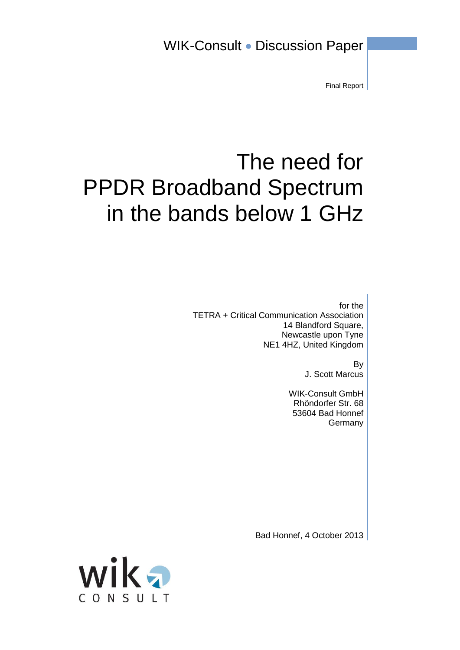Final Report

# The need for PPDR Broadband Spectrum in the bands below 1 GHz

for the TETRA + Critical Communication Association 14 Blandford Square, Newcastle upon Tyne NE1 4HZ, United Kingdom

By

J. Scott Marcus

WIK-Consult GmbH Rhöndorfer Str. 68 53604 Bad Honnef Germany

Bad Honnef, 4 October 2013

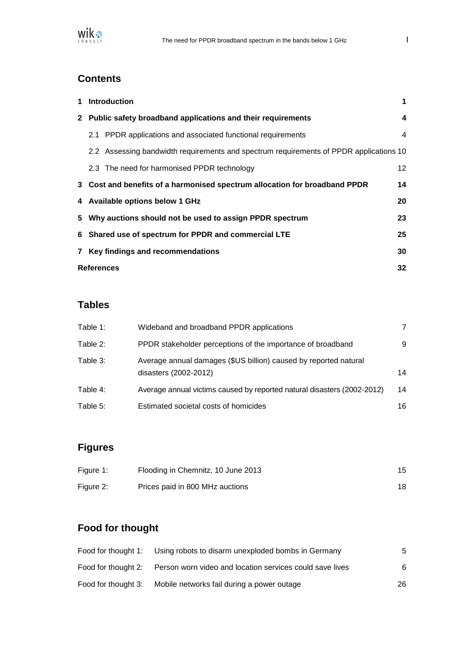

# **Contents**

| 1 Introduction                                                                         | 1              |  |
|----------------------------------------------------------------------------------------|----------------|--|
| 2 Public safety broadband applications and their requirements                          | 4              |  |
| 2.1 PPDR applications and associated functional requirements                           | $\overline{4}$ |  |
| 2.2 Assessing bandwidth requirements and spectrum requirements of PPDR applications 10 |                |  |
| 2.3 The need for harmonised PPDR technology                                            | 12             |  |
| 3 Cost and benefits of a harmonised spectrum allocation for broadband PPDR             | 14             |  |
| 4 Available options below 1 GHz                                                        | 20             |  |
| 5 Why auctions should not be used to assign PPDR spectrum                              | 23             |  |
| 25<br>6 Shared use of spectrum for PPDR and commercial LTE                             |                |  |
| 7 Key findings and recommendations                                                     | 30             |  |
| <b>References</b>                                                                      | 32             |  |

# **Tables**

| Table 1: | Wideband and broadband PPDR applications                                                  | 7  |
|----------|-------------------------------------------------------------------------------------------|----|
| Table 2: | PPDR stakeholder perceptions of the importance of broadband                               | 9  |
| Table 3: | Average annual damages (\$US billion) caused by reported natural<br>disasters (2002-2012) | 14 |
| Table 4: | Average annual victims caused by reported natural disasters (2002-2012)                   | 14 |
| Table 5: | Estimated societal costs of homicides                                                     | 16 |

# **Figures**

| Figure 1: | Flooding in Chemnitz, 10 June 2013 | 15 |
|-----------|------------------------------------|----|
| Figure 2: | Prices paid in 800 MHz auctions    |    |

# **Food for thought**

| Food for thought 1: | Using robots to disarm unexploded bombs in Germany       | 5  |
|---------------------|----------------------------------------------------------|----|
| Food for thought 2: | Person worn video and location services could save lives | 6  |
| Food for thought 3: | Mobile networks fail during a power outage               | 26 |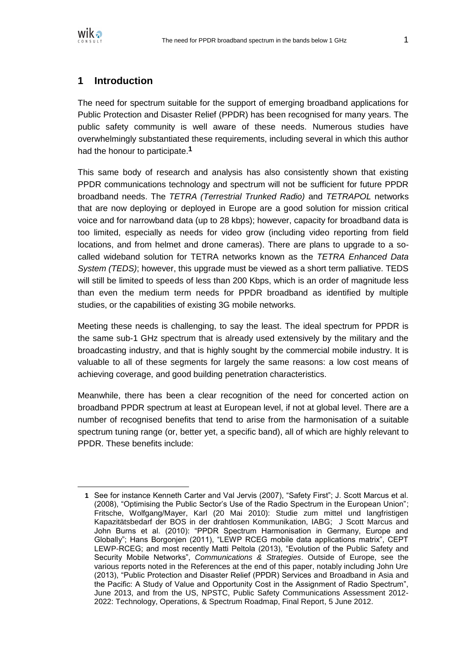

# **1 Introduction**

The need for spectrum suitable for the support of emerging broadband applications for Public Protection and Disaster Relief (PPDR) has been recognised for many years. The public safety community is well aware of these needs. Numerous studies have overwhelmingly substantiated these requirements, including several in which this author had the honour to participate.**1**

This same body of research and analysis has also consistently shown that existing PPDR communications technology and spectrum will not be sufficient for future PPDR broadband needs. The *TETRA (Terrestrial Trunked Radio)* and *TETRAPOL* networks that are now deploying or deployed in Europe are a good solution for mission critical voice and for narrowband data (up to 28 kbps); however, capacity for broadband data is too limited, especially as needs for video grow (including video reporting from field locations, and from helmet and drone cameras). There are plans to upgrade to a socalled wideband solution for TETRA networks known as the *TETRA Enhanced Data System (TEDS)*; however, this upgrade must be viewed as a short term palliative. TEDS will still be limited to speeds of less than 200 Kbps, which is an order of magnitude less than even the medium term needs for PPDR broadband as identified by multiple studies, or the capabilities of existing 3G mobile networks.

Meeting these needs is challenging, to say the least. The ideal spectrum for PPDR is the same sub-1 GHz spectrum that is already used extensively by the military and the broadcasting industry, and that is highly sought by the commercial mobile industry. It is valuable to all of these segments for largely the same reasons: a low cost means of achieving coverage, and good building penetration characteristics.

Meanwhile, there has been a clear recognition of the need for concerted action on broadband PPDR spectrum at least at European level, if not at global level. There are a number of recognised benefits that tend to arise from the harmonisation of a suitable spectrum tuning range (or, better yet, a specific band), all of which are highly relevant to PPDR. These benefits include:

**<sup>1</sup>** See for instance Kenneth Carter and Val Jervis (2007), "Safety First"; J. Scott Marcus et al. (2008), "Optimising the Public Sector's Use of the Radio Spectrum in the European Union"; Fritsche, Wolfgang/Mayer, Karl (20 Mai 2010): Studie zum mittel und langfristigen Kapazitätsbedarf der BOS in der drahtlosen Kommunikation, IABG; J Scott Marcus and John Burns et al. (2010): "PPDR Spectrum Harmonisation in Germany, Europe and Globally"; Hans Borgonjen (2011), "LEWP RCEG mobile data applications matrix", CEPT LEWP-RCEG; and most recently Matti Peltola (2013), "Evolution of the Public Safety and Security Mobile Networks", *Communications & Strategies*. Outside of Europe, see the various reports noted in the References at the end of this paper, notably including John Ure (2013), "Public Protection and Disaster Relief (PPDR) Services and Broadband in Asia and the Pacific: A Study of Value and Opportunity Cost in the Assignment of Radio Spectrum", June 2013, and from the US, NPSTC, Public Safety Communications Assessment 2012- 2022: Technology, Operations, & Spectrum Roadmap, Final Report, 5 June 2012.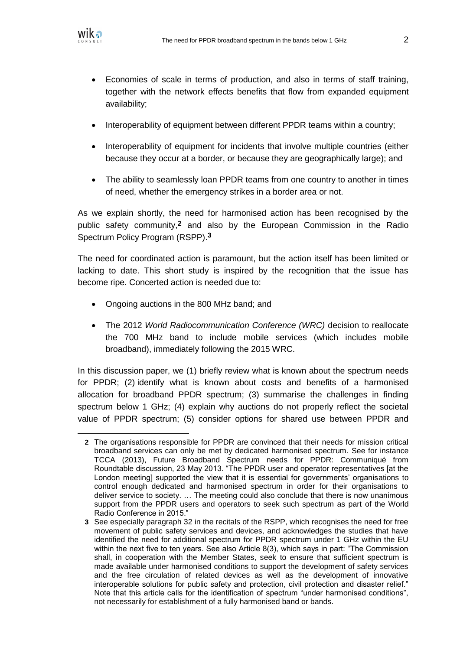

- Economies of scale in terms of production, and also in terms of staff training, together with the network effects benefits that flow from expanded equipment availability;
- Interoperability of equipment between different PPDR teams within a country;
- Interoperability of equipment for incidents that involve multiple countries (either because they occur at a border, or because they are geographically large); and
- The ability to seamlessly loan PPDR teams from one country to another in times of need, whether the emergency strikes in a border area or not.

As we explain shortly, the need for harmonised action has been recognised by the public safety community,**2** and also by the European Commission in the Radio Spectrum Policy Program (RSPP).**3**

The need for coordinated action is paramount, but the action itself has been limited or lacking to date. This short study is inspired by the recognition that the issue has become ripe. Concerted action is needed due to:

- Ongoing auctions in the 800 MHz band; and
- The 2012 *World Radiocommunication Conference (WRC)* decision to reallocate the 700 MHz band to include mobile services (which includes mobile broadband), immediately following the 2015 WRC.

In this discussion paper, we (1) briefly review what is known about the spectrum needs for PPDR; (2) identify what is known about costs and benefits of a harmonised allocation for broadband PPDR spectrum; (3) summarise the challenges in finding spectrum below 1 GHz; (4) explain why auctions do not properly reflect the societal value of PPDR spectrum; (5) consider options for shared use between PPDR and

**<sup>2</sup>** The organisations responsible for PPDR are convinced that their needs for mission critical broadband services can only be met by dedicated harmonised spectrum. See for instance TCCA (2013), Future Broadband Spectrum needs for PPDR: Communiqué from Roundtable discussion, 23 May 2013. "The PPDR user and operator representatives [at the London meeting] supported the view that it is essential for governments' organisations to control enough dedicated and harmonised spectrum in order for their organisations to deliver service to society. … The meeting could also conclude that there is now unanimous support from the PPDR users and operators to seek such spectrum as part of the World Radio Conference in 2015."

**<sup>3</sup>** See especially paragraph 32 in the recitals of the RSPP, which recognises the need for free movement of public safety services and devices, and acknowledges the studies that have identified the need for additional spectrum for PPDR spectrum under 1 GHz within the EU within the next five to ten years. See also Article 8(3), which says in part: "The Commission shall, in cooperation with the Member States, seek to ensure that sufficient spectrum is made available under harmonised conditions to support the development of safety services and the free circulation of related devices as well as the development of innovative interoperable solutions for public safety and protection, civil protection and disaster relief." Note that this article calls for the identification of spectrum "under harmonised conditions", not necessarily for establishment of a fully harmonised band or bands.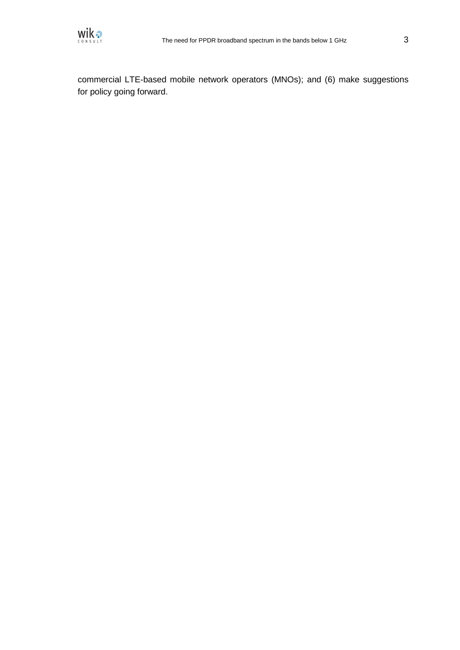

commercial LTE-based mobile network operators (MNOs); and (6) make suggestions for policy going forward.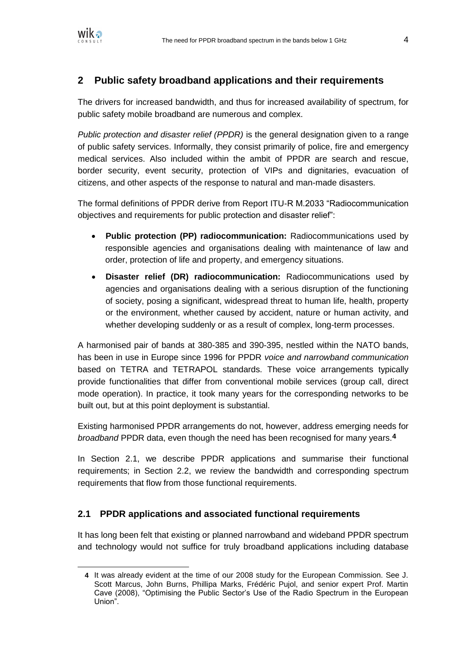

# **2 Public safety broadband applications and their requirements**

The drivers for increased bandwidth, and thus for increased availability of spectrum, for public safety mobile broadband are numerous and complex.

*Public protection and disaster relief (PPDR)* is the general designation given to a range of public safety services. Informally, they consist primarily of police, fire and emergency medical services. Also included within the ambit of PPDR are search and rescue, border security, event security, protection of VIPs and dignitaries, evacuation of citizens, and other aspects of the response to natural and man-made disasters.

The formal definitions of PPDR derive from Report ITU-R M.2033 "Radiocommunication objectives and requirements for public protection and disaster relief":

- **Public protection (PP) radiocommunication:** Radiocommunications used by responsible agencies and organisations dealing with maintenance of law and order, protection of life and property, and emergency situations.
- **Disaster relief (DR) radiocommunication:** Radiocommunications used by agencies and organisations dealing with a serious disruption of the functioning of society, posing a significant, widespread threat to human life, health, property or the environment, whether caused by accident, nature or human activity, and whether developing suddenly or as a result of complex, long-term processes.

A harmonised pair of bands at 380-385 and 390-395, nestled within the NATO bands, has been in use in Europe since 1996 for PPDR *voice and narrowband communication* based on TETRA and TETRAPOL standards. These voice arrangements typically provide functionalities that differ from conventional mobile services (group call, direct mode operation). In practice, it took many years for the corresponding networks to be built out, but at this point deployment is substantial.

Existing harmonised PPDR arrangements do not, however, address emerging needs for *broadband* PPDR data, even though the need has been recognised for many years.**4**

In Section [2.1,](#page-5-0) we describe PPDR applications and summarise their functional requirements; in Section [2.2,](#page-11-0) we review the bandwidth and corresponding spectrum requirements that flow from those functional requirements.

## <span id="page-5-0"></span>**2.1 PPDR applications and associated functional requirements**

It has long been felt that existing or planned narrowband and wideband PPDR spectrum and technology would not suffice for truly broadband applications including database

**<sup>4</sup>** It was already evident at the time of our 2008 study for the European Commission. See J. Scott Marcus, John Burns, Phillipa Marks, Frédéric Pujol, and senior expert Prof. Martin Cave (2008), "Optimising the Public Sector's Use of the Radio Spectrum in the European Union".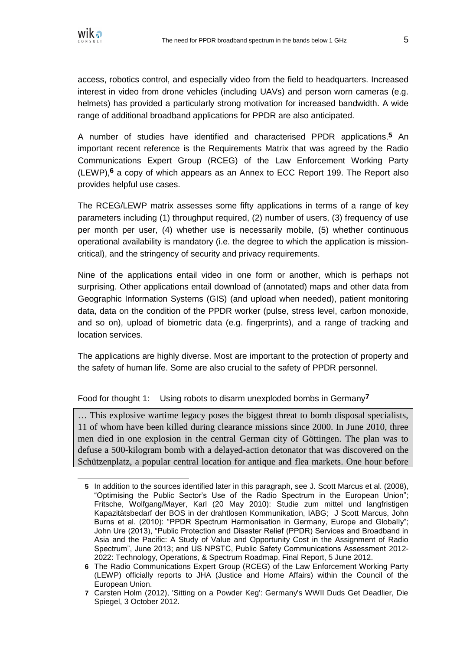

 $\overline{a}$ 

access, robotics control, and especially video from the field to headquarters. Increased interest in video from drone vehicles (including UAVs) and person worn cameras (e.g. helmets) has provided a particularly strong motivation for increased bandwidth. A wide range of additional broadband applications for PPDR are also anticipated.

A number of studies have identified and characterised PPDR applications. **5** An important recent reference is the Requirements Matrix that was agreed by the Radio Communications Expert Group (RCEG) of the Law Enforcement Working Party (LEWP),**6** a copy of which appears as an Annex to ECC Report 199. The Report also provides helpful use cases.

The RCEG/LEWP matrix assesses some fifty applications in terms of a range of key parameters including (1) throughput required, (2) number of users, (3) frequency of use per month per user, (4) whether use is necessarily mobile, (5) whether continuous operational availability is mandatory (i.e. the degree to which the application is missioncritical), and the stringency of security and privacy requirements.

Nine of the applications entail video in one form or another, which is perhaps not surprising. Other applications entail download of (annotated) maps and other data from Geographic Information Systems (GIS) (and upload when needed), patient monitoring data, data on the condition of the PPDR worker (pulse, stress level, carbon monoxide, and so on), upload of biometric data (e.g. fingerprints), and a range of tracking and location services.

The applications are highly diverse. Most are important to the protection of property and the safety of human life. Some are also crucial to the safety of PPDR personnel.

## <span id="page-6-0"></span>Food for thought 1: Using robots to disarm unexploded bombs in Germany**7**

… This explosive wartime legacy poses the biggest threat to bomb disposal specialists, 11 of whom have been killed during clearance missions since 2000. In June 2010, three men died in one explosion in the central German city of Göttingen. The plan was to defuse a 500-kilogram bomb with a delayed-action detonator that was discovered on the Schützenplatz, a popular central location for antique and flea markets. One hour before

**<sup>5</sup>** In addition to the sources identified later in this paragraph, see J. Scott Marcus et al. (2008), "Optimising the Public Sector's Use of the Radio Spectrum in the European Union"; Fritsche, Wolfgang/Mayer, Karl (20 May 2010): Studie zum mittel und langfristigen Kapazitätsbedarf der BOS in der drahtlosen Kommunikation, IABG; J Scott Marcus, John Burns et al. (2010): "PPDR Spectrum Harmonisation in Germany, Europe and Globally"; John Ure (2013), "Public Protection and Disaster Relief (PPDR) Services and Broadband in Asia and the Pacific: A Study of Value and Opportunity Cost in the Assignment of Radio Spectrum", June 2013; and US NPSTC, Public Safety Communications Assessment 2012- 2022: Technology, Operations, & Spectrum Roadmap, Final Report, 5 June 2012.

**<sup>6</sup>** The Radio Communications Expert Group (RCEG) of the Law Enforcement Working Party (LEWP) officially reports to JHA (Justice and Home Affairs) within the Council of the European Union.

**<sup>7</sup>** Carsten Holm (2012), 'Sitting on a Powder Keg': Germany's WWII Duds Get Deadlier, Die Spiegel, 3 October 2012.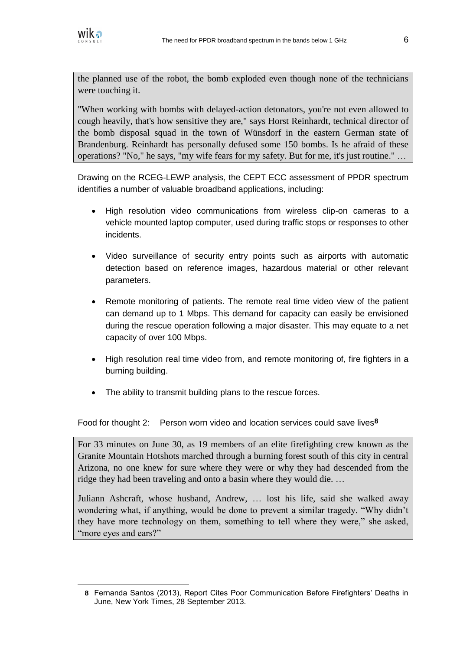

the planned use of the robot, the bomb exploded even though none of the technicians were touching it.

"When working with bombs with delayed-action detonators, you're not even allowed to cough heavily, that's how sensitive they are," says Horst Reinhardt, technical director of the bomb disposal squad in the town of Wünsdorf in the eastern German state of Brandenburg. Reinhardt has personally defused some 150 bombs. Is he afraid of these operations? "No," he says, "my wife fears for my safety. But for me, it's just routine." …

Drawing on the RCEG-LEWP analysis, the CEPT ECC assessment of PPDR spectrum identifies a number of valuable broadband applications, including:

- High resolution video communications from wireless clip-on cameras to a vehicle mounted laptop computer, used during traffic stops or responses to other incidents.
- Video surveillance of security entry points such as airports with automatic detection based on reference images, hazardous material or other relevant parameters.
- Remote monitoring of patients. The remote real time video view of the patient can demand up to 1 Mbps. This demand for capacity can easily be envisioned during the rescue operation following a major disaster. This may equate to a net capacity of over 100 Mbps.
- High resolution real time video from, and remote monitoring of, fire fighters in a burning building.
- The ability to transmit building plans to the rescue forces.

<span id="page-7-0"></span>Food for thought 2: Person worn video and location services could save lives**8**

For 33 minutes on June 30, as 19 members of an elite firefighting crew known as the Granite Mountain Hotshots marched through a burning forest south of this city in central Arizona, no one knew for sure where they were or why they had descended from the ridge they had been traveling and onto a basin where they would die. …

Juliann Ashcraft, whose husband, Andrew, … lost his life, said she walked away wondering what, if anything, would be done to prevent a similar tragedy. "Why didn't they have more technology on them, something to tell where they were," she asked, "more eyes and ears?"

**<sup>8</sup>** Fernanda Santos (2013), Report Cites Poor Communication Before Firefighters' Deaths in June, New York Times, 28 September 2013.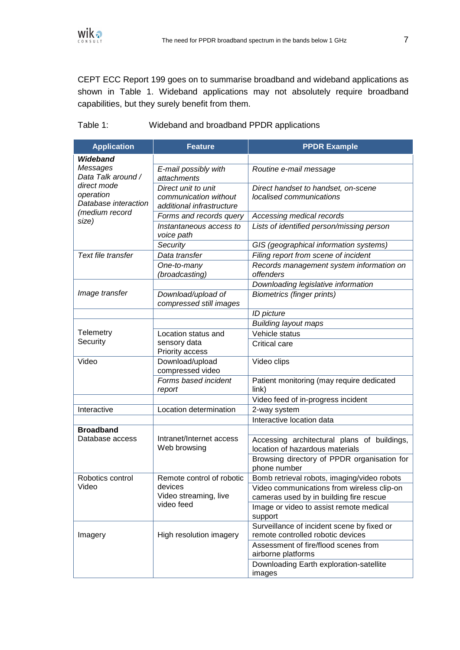

CEPT ECC Report 199 goes on to summarise broadband and wideband applications as shown in [Table 1.](#page-8-0) Wideband applications may not absolutely require broadband capabilities, but they surely benefit from them.

<span id="page-8-0"></span>Table 1: Wideband and broadband PPDR applications

| <b>Application</b>                               | <b>Feature</b>                                                            | <b>PPDR Example</b>                                                                   |
|--------------------------------------------------|---------------------------------------------------------------------------|---------------------------------------------------------------------------------------|
| Wideband                                         |                                                                           |                                                                                       |
| Messages<br>Data Talk around /                   | E-mail possibly with<br>attachments                                       | Routine e-mail message                                                                |
| direct mode<br>operation<br>Database interaction | Direct unit to unit<br>communication without<br>additional infrastructure | Direct handset to handset, on-scene<br>localised communications                       |
| (medium record                                   | Forms and records query                                                   | Accessing medical records                                                             |
| size)                                            | Instantaneous access to<br>voice path                                     | Lists of identified person/missing person                                             |
|                                                  | Security                                                                  | GIS (geographical information systems)                                                |
| Text file transfer                               | Data transfer                                                             | Filing report from scene of incident                                                  |
|                                                  | One-to-many<br>(broadcasting)                                             | Records management system information on<br>offenders                                 |
|                                                  |                                                                           | Downloading legislative information                                                   |
| Image transfer                                   | Download/upload of<br>compressed still images                             | <b>Biometrics (finger prints)</b>                                                     |
|                                                  |                                                                           | ID picture                                                                            |
|                                                  |                                                                           | <b>Building layout maps</b>                                                           |
| <b>Telemetry</b>                                 | Location status and                                                       | Vehicle status                                                                        |
| Security                                         | sensory data<br>Priority access                                           | Critical care                                                                         |
| Video                                            | Download/upload<br>compressed video                                       | Video clips                                                                           |
|                                                  | Forms based incident<br>report                                            | Patient monitoring (may require dedicated<br>$\mathsf{link}$                          |
|                                                  |                                                                           | Video feed of in-progress incident                                                    |
| Interactive                                      | Location determination                                                    | 2-way system                                                                          |
|                                                  |                                                                           | Interactive location data                                                             |
| <b>Broadband</b>                                 |                                                                           |                                                                                       |
| Database access                                  | Intranet/Internet access<br>Web browsing                                  | Accessing architectural plans of buildings,<br>location of hazardous materials        |
|                                                  |                                                                           | Browsing directory of PPDR organisation for<br>phone number                           |
| Robotics control                                 | Remote control of robotic                                                 | Bomb retrieval robots, imaging/video robots                                           |
| Video                                            | devices<br>Video streaming, live                                          | Video communications from wireless clip-on<br>cameras used by in building fire rescue |
|                                                  | video feed                                                                | Image or video to assist remote medical<br>support                                    |
| Imagery                                          | High resolution imagery                                                   | Surveillance of incident scene by fixed or<br>remote controlled robotic devices       |
|                                                  |                                                                           | Assessment of fire/flood scenes from<br>airborne platforms                            |
|                                                  |                                                                           | Downloading Earth exploration-satellite<br>images                                     |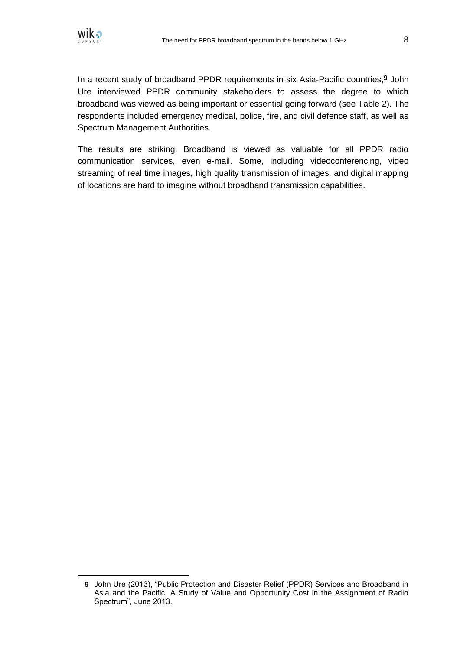

 $\overline{a}$ 

In a recent study of broadband PPDR requirements in six Asia-Pacific countries,**9** John Ure interviewed PPDR community stakeholders to assess the degree to which broadband was viewed as being important or essential going forward (see [Table 2\)](#page-10-0). The respondents included emergency medical, police, fire, and civil defence staff, as well as Spectrum Management Authorities.

The results are striking. Broadband is viewed as valuable for all PPDR radio communication services, even e-mail. Some, including videoconferencing, video streaming of real time images, high quality transmission of images, and digital mapping of locations are hard to imagine without broadband transmission capabilities.

**<sup>9</sup>** John Ure (2013), "Public Protection and Disaster Relief (PPDR) Services and Broadband in Asia and the Pacific: A Study of Value and Opportunity Cost in the Assignment of Radio Spectrum", June 2013.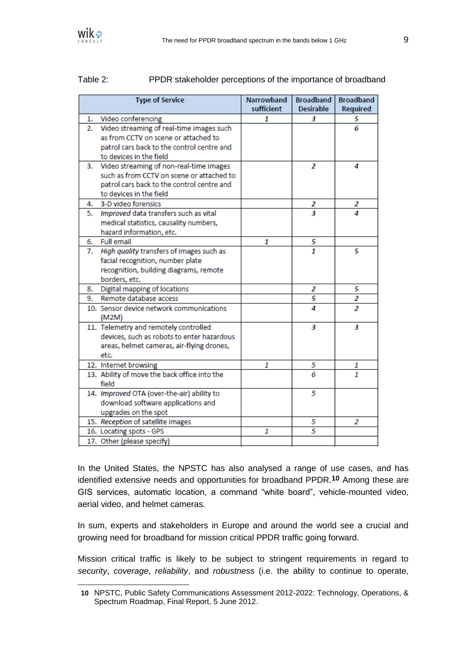

<span id="page-10-0"></span>

| Table 2: | PPDR stakeholder perceptions of the importance of broadband |  |  |
|----------|-------------------------------------------------------------|--|--|
|          |                                                             |  |  |

|    | <b>Type of Service</b>                                 | <b>Narrowband</b><br>sufficient | <b>Broadband</b><br><b>Desirable</b> | <b>Broadband</b><br>Required |
|----|--------------------------------------------------------|---------------------------------|--------------------------------------|------------------------------|
|    | 1. Video conferencing                                  | 1                               | з                                    | 5                            |
| 2. | Video streaming of real-time images such               |                                 |                                      | 6                            |
|    | as from CCTV on scene or attached to                   |                                 |                                      |                              |
|    | patrol cars back to the control centre and             |                                 |                                      |                              |
|    | to devices in the field                                |                                 |                                      |                              |
| 3. | Video streaming of non-real-time images                |                                 | 2                                    | 4                            |
|    | such as from CCTV on scene or attached to              |                                 |                                      |                              |
|    | patrol cars back to the control centre and             |                                 |                                      |                              |
|    | to devices in the field                                |                                 |                                      |                              |
|    | 4. 3-D video forensics                                 |                                 | 2                                    | 2                            |
| 5. | Improved data transfers such as vital                  |                                 | 3                                    | Δ                            |
|    | medical statistics, causality numbers,                 |                                 |                                      |                              |
|    | hazard information, etc.                               |                                 |                                      |                              |
| 6. | <b>Full email</b>                                      | 1                               | 5                                    |                              |
| 7. | High quality transfers of images such as               |                                 | 1                                    | 5                            |
|    | facial recognition, number plate                       |                                 |                                      |                              |
|    | recognition, building diagrams, remote                 |                                 |                                      |                              |
|    | borders, etc.                                          |                                 |                                      |                              |
| 8. | Digital mapping of locations<br>Remote database access |                                 | 2                                    | 5                            |
| 9. | 10. Sensor device network communications               |                                 | 5                                    | 2                            |
|    | (M2M)                                                  |                                 | 4                                    | $\overline{\mathbf{z}}$      |
|    | 11. Telemetry and remotely controlled                  |                                 | 3                                    | 3                            |
|    | devices, such as robots to enter hazardous             |                                 |                                      |                              |
|    | areas, helmet cameras, air-flying drones,              |                                 |                                      |                              |
|    | etc.                                                   |                                 |                                      |                              |
|    | 12. Internet browsing                                  | 1                               | 5                                    | 1                            |
|    | 13. Ability of move the back office into the<br>field  |                                 | 6                                    | 1                            |
|    | 14. Improved OTA (over-the-air) ability to             |                                 | 5                                    |                              |
|    | download software applications and                     |                                 |                                      |                              |
|    | upgrades on the spot                                   |                                 |                                      |                              |
|    | 15. Reception of satellite images                      |                                 | 5                                    | 2                            |
|    | 16. Locating spots - GPS                               | 1                               | 5                                    |                              |
|    | 17. Other (please specify)                             |                                 |                                      |                              |

In the United States, the NPSTC has also analysed a range of use cases, and has identified extensive needs and opportunities for broadband PPDR.**10** Among these are GIS services, automatic location, a command "white board", vehicle-mounted video, aerial video, and helmet cameras.

In sum, experts and stakeholders in Europe and around the world see a crucial and growing need for broadband for mission critical PPDR traffic going forward.

Mission critical traffic is likely to be subject to stringent requirements in regard to *security*, *coverage*, *reliability*, and *robustness* (i.e. the ability to continue to operate,

**<sup>10</sup>** NPSTC, Public Safety Communications Assessment 2012-2022: Technology, Operations, & Spectrum Roadmap, Final Report, 5 June 2012.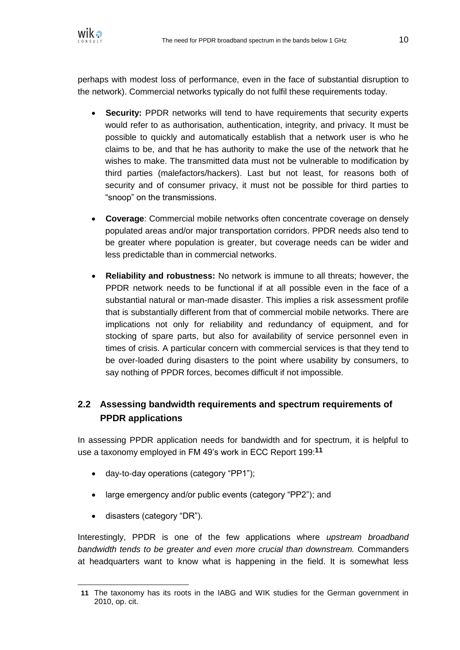

perhaps with modest loss of performance, even in the face of substantial disruption to the network). Commercial networks typically do not fulfil these requirements today.

- **Security:** PPDR networks will tend to have requirements that security experts would refer to as authorisation, authentication, integrity, and privacy. It must be possible to quickly and automatically establish that a network user is who he claims to be, and that he has authority to make the use of the network that he wishes to make. The transmitted data must not be vulnerable to modification by third parties (malefactors/hackers). Last but not least, for reasons both of security and of consumer privacy, it must not be possible for third parties to "snoop" on the transmissions.
- **Coverage**: Commercial mobile networks often concentrate coverage on densely populated areas and/or major transportation corridors. PPDR needs also tend to be greater where population is greater, but coverage needs can be wider and less predictable than in commercial networks.
- **Reliability and robustness:** No network is immune to all threats; however, the PPDR network needs to be functional if at all possible even in the face of a substantial natural or man-made disaster. This implies a risk assessment profile that is substantially different from that of commercial mobile networks. There are implications not only for reliability and redundancy of equipment, and for stocking of spare parts, but also for availability of service personnel even in times of crisis. A particular concern with commercial services is that they tend to be over-loaded during disasters to the point where usability by consumers, to say nothing of PPDR forces, becomes difficult if not impossible.

# <span id="page-11-0"></span>**2.2 Assessing bandwidth requirements and spectrum requirements of PPDR applications**

In assessing PPDR application needs for bandwidth and for spectrum, it is helpful to use a taxonomy employed in FM 49's work in ECC Report 199: **11**

- day-to-day operations (category "PP1");
- large emergency and/or public events (category "PP2"); and
- disasters (category "DR").

Interestingly, PPDR is one of the few applications where *upstream broadband bandwidth tends to be greater and even more crucial than downstream.* Commanders at headquarters want to know what is happening in the field. It is somewhat less

 **11** The taxonomy has its roots in the IABG and WIK studies for the German government in 2010, op. cit.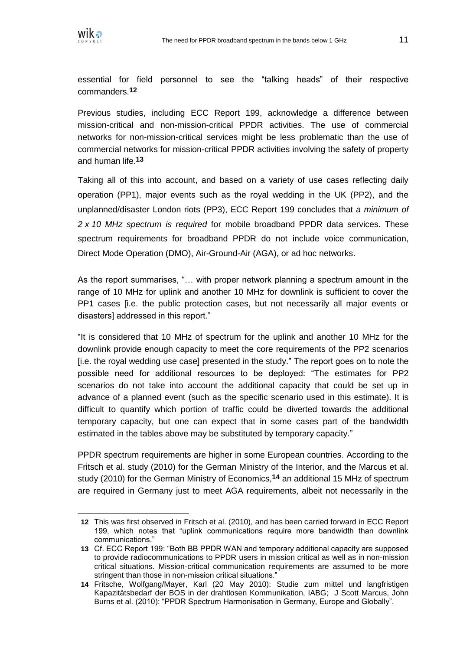

essential for field personnel to see the "talking heads" of their respective commanders.**12**

Previous studies, including ECC Report 199, acknowledge a difference between mission-critical and non-mission-critical PPDR activities. The use of commercial networks for non-mission-critical services might be less problematic than the use of commercial networks for mission-critical PPDR activities involving the safety of property and human life.**13**

Taking all of this into account, and based on a variety of use cases reflecting daily operation (PP1), major events such as the royal wedding in the UK (PP2), and the unplanned/disaster London riots (PP3), ECC Report 199 concludes that *a minimum of 2 x 10 MHz spectrum is required* for mobile broadband PPDR data services. These spectrum requirements for broadband PPDR do not include voice communication, Direct Mode Operation (DMO), Air-Ground-Air (AGA), or ad hoc networks.

As the report summarises, "… with proper network planning a spectrum amount in the range of 10 MHz for uplink and another 10 MHz for downlink is sufficient to cover the PP1 cases [i.e. the public protection cases, but not necessarily all major events or disasters] addressed in this report."

"It is considered that 10 MHz of spectrum for the uplink and another 10 MHz for the downlink provide enough capacity to meet the core requirements of the PP2 scenarios [i.e. the royal wedding use case] presented in the study." The report goes on to note the possible need for additional resources to be deployed: "The estimates for PP2 scenarios do not take into account the additional capacity that could be set up in advance of a planned event (such as the specific scenario used in this estimate). It is difficult to quantify which portion of traffic could be diverted towards the additional temporary capacity, but one can expect that in some cases part of the bandwidth estimated in the tables above may be substituted by temporary capacity."

PPDR spectrum requirements are higher in some European countries. According to the Fritsch et al. study (2010) for the German Ministry of the Interior, and the Marcus et al. study (2010) for the German Ministry of Economics,**14** an additional 15 MHz of spectrum are required in Germany just to meet AGA requirements, albeit not necessarily in the

 **12** This was first observed in Fritsch et al. (2010), and has been carried forward in ECC Report 199, which notes that "uplink communications require more bandwidth than downlink communications."

**<sup>13</sup>** Cf. ECC Report 199: "Both BB PPDR WAN and temporary additional capacity are supposed to provide radiocommunications to PPDR users in mission critical as well as in non-mission critical situations. Mission-critical communication requirements are assumed to be more stringent than those in non-mission critical situations."

**<sup>14</sup>** Fritsche, Wolfgang/Mayer, Karl (20 May 2010): Studie zum mittel und langfristigen Kapazitätsbedarf der BOS in der drahtlosen Kommunikation, IABG; J Scott Marcus, John Burns et al. (2010): "PPDR Spectrum Harmonisation in Germany, Europe and Globally".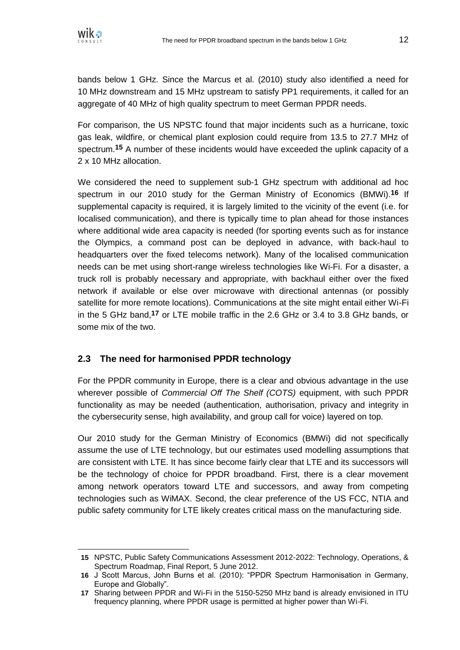

 $\overline{a}$ 

bands below 1 GHz. Since the Marcus et al. (2010) study also identified a need for 10 MHz downstream and 15 MHz upstream to satisfy PP1 requirements, it called for an aggregate of 40 MHz of high quality spectrum to meet German PPDR needs.

For comparison, the US NPSTC found that major incidents such as a hurricane, toxic gas leak, wildfire, or chemical plant explosion could require from 13.5 to 27.7 MHz of spectrum.**15** A number of these incidents would have exceeded the uplink capacity of a 2 x 10 MHz allocation.

We considered the need to supplement sub-1 GHz spectrum with additional ad hoc spectrum in our 2010 study for the German Ministry of Economics (BMWi).**16** If supplemental capacity is required, it is largely limited to the vicinity of the event (i.e. for localised communication), and there is typically time to plan ahead for those instances where additional wide area capacity is needed (for sporting events such as for instance the Olympics, a command post can be deployed in advance, with back-haul to headquarters over the fixed telecoms network). Many of the localised communication needs can be met using short-range wireless technologies like Wi-Fi. For a disaster, a truck roll is probably necessary and appropriate, with backhaul either over the fixed network if available or else over microwave with directional antennas (or possibly satellite for more remote locations). Communications at the site might entail either Wi-Fi in the 5 GHz band,**17** or LTE mobile traffic in the 2.6 GHz or 3.4 to 3.8 GHz bands, or some mix of the two.

## **2.3 The need for harmonised PPDR technology**

For the PPDR community in Europe, there is a clear and obvious advantage in the use wherever possible of *Commercial Off The Shelf (COTS)* equipment, with such PPDR functionality as may be needed (authentication, authorisation, privacy and integrity in the cybersecurity sense, high availability, and group call for voice) layered on top.

Our 2010 study for the German Ministry of Economics (BMWi) did not specifically assume the use of LTE technology, but our estimates used modelling assumptions that are consistent with LTE. It has since become fairly clear that LTE and its successors will be the technology of choice for PPDR broadband. First, there is a clear movement among network operators toward LTE and successors, and away from competing technologies such as WiMAX. Second, the clear preference of the US FCC, NTIA and public safety community for LTE likely creates critical mass on the manufacturing side.

**<sup>15</sup>** NPSTC, Public Safety Communications Assessment 2012-2022: Technology, Operations, & Spectrum Roadmap, Final Report, 5 June 2012.

**<sup>16</sup>** J Scott Marcus, John Burns et al. (2010): "PPDR Spectrum Harmonisation in Germany, Europe and Globally".

**<sup>17</sup>** Sharing between PPDR and Wi-Fi in the 5150-5250 MHz band is already envisioned in ITU frequency planning, where PPDR usage is permitted at higher power than Wi-Fi.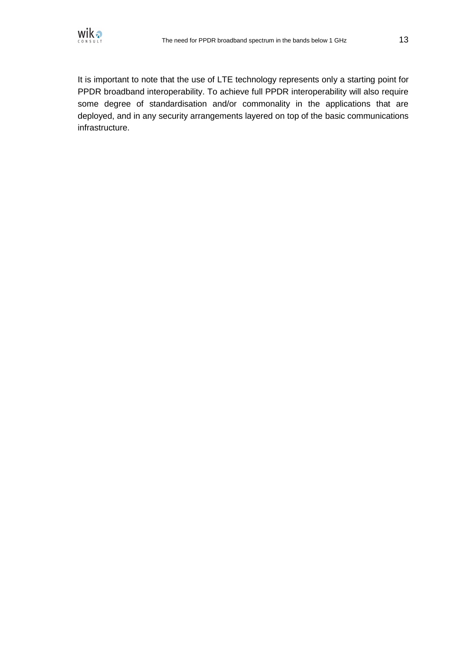

It is important to note that the use of LTE technology represents only a starting point for PPDR broadband interoperability. To achieve full PPDR interoperability will also require some degree of standardisation and/or commonality in the applications that are deployed, and in any security arrangements layered on top of the basic communications infrastructure.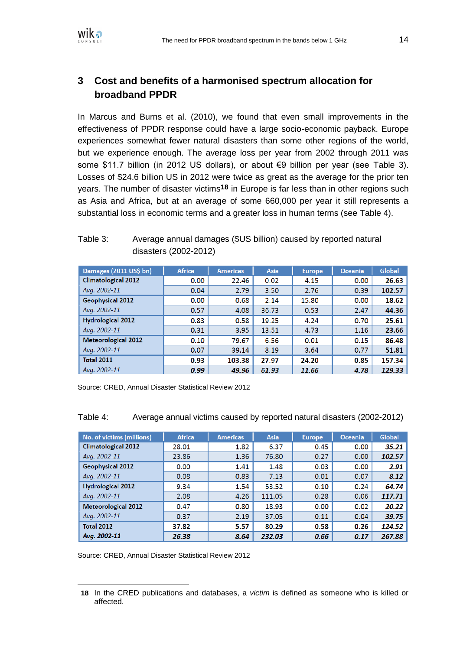

# **3 Cost and benefits of a harmonised spectrum allocation for broadband PPDR**

In Marcus and Burns et al. (2010), we found that even small improvements in the effectiveness of PPDR response could have a large socio-economic payback. Europe experiences somewhat fewer natural disasters than some other regions of the world, but we experience enough. The average loss per year from 2002 through 2011 was some \$11.7 billion (in 2012 US dollars), or about €9 billion per year (see [Table 3\)](#page-15-0). Losses of \$24.6 billion US in 2012 were twice as great as the average for the prior ten years. The number of disaster victims**18** in Europe is far less than in other regions such as Asia and Africa, but at an average of some 660,000 per year it still represents a substantial loss in economic terms and a greater loss in human terms (see [Table 4\)](#page-15-1).

#### <span id="page-15-0"></span>Table 3: Average annual damages (\$US billion) caused by reported natural disasters (2002-2012)

| Damages (2011 US\$ bn)     | <b>Africa</b> | <b>Americas</b> | Asia  | <b>Europe</b> | <b>Oceania</b> | <b>Global</b> |
|----------------------------|---------------|-----------------|-------|---------------|----------------|---------------|
| <b>Climatological 2012</b> | 0.00          | 22.46           | 0.02  | 4.15          | 0.00           | 26.63         |
| Avg. 2002-11               | 0.04          | 2.79            | 3.50  | 2.76          | 0.39           | 102.57        |
| <b>Geophysical 2012</b>    | 0.00          | 0.68            | 2.14  | 15.80         | 0.00           | 18.62         |
| Avg. 2002-11               | 0.57          | 4.08            | 36.73 | 0.53          | 2.47           | 44.36         |
| <b>Hydrological 2012</b>   | 0.83          | 0.58            | 19.25 | 4.24          | 0.70           | 25.61         |
| Avg. 2002-11               | 0.31          | 3.95            | 13.51 | 4.73          | 1.16           | 23.66         |
| <b>Meteorological 2012</b> | 0.10          | 79.67           | 6.56  | 0.01          | 0.15           | 86.48         |
| Avg. 2002-11               | 0.07          | 39.14           | 8.19  | 3.64          | 0.77           | 51.81         |
| <b>Total 2011</b>          | 0.93          | 103.38          | 27.97 | 24.20         | 0.85           | 157.34        |
| Avg. 2002-11               | 0.99          | 49.96           | 61.93 | 11.66         | 4.78           | 129.33        |

Source: CRED, Annual Disaster Statistical Review 2012

<span id="page-15-1"></span>Table 4: Average annual victims caused by reported natural disasters (2002-2012)

| No. of victims (millions)  | <b>Africa</b> | <b>Americas</b> | Asia   | <b>Europe</b> | <b>Oceania</b> | <b>Global</b> |
|----------------------------|---------------|-----------------|--------|---------------|----------------|---------------|
| <b>Climatological 2012</b> | 28.01         | 1.82            | 6.37   | 0.45          | 0.00           | 35.21         |
| Avg. 2002-11               | 23.86         | 1.36            | 76.80  | 0.27          | 0.00           | 102.57        |
| <b>Geophysical 2012</b>    | 0.00          | 1.41            | 1.48   | 0.03          | 0.00           | 2.91          |
| Avg. 2002-11               | 0.08          | 0.83            | 7.13   | 0.01          | 0.07           | 8.12          |
| <b>Hydrological 2012</b>   | 9.34          | 1.54            | 53.52  | 0.10          | 0.24           | 64.74         |
| Avg. 2002-11               | 2.08          | 4.26            | 111.05 | 0.28          | 0.06           | 117.71        |
| <b>Meteorological 2012</b> | 0.47          | 0.80            | 18.93  | 0.00          | 0.02           | 20.22         |
| Avg. 2002-11               | 0.37          | 2.19            | 37.05  | 0.11          | 0.04           | 39.75         |
| <b>Total 2012</b>          | 37.82         | 5.57            | 80.29  | 0.58          | 0.26           | 124.52        |
| Avg. 2002-11               | 26.38         | 8.64            | 232.03 | 0.66          | 0.17           | 267.88        |

Source: CRED, Annual Disaster Statistical Review 2012

**<sup>18</sup>** In the CRED publications and databases, a *victim* is defined as someone who is killed or affected.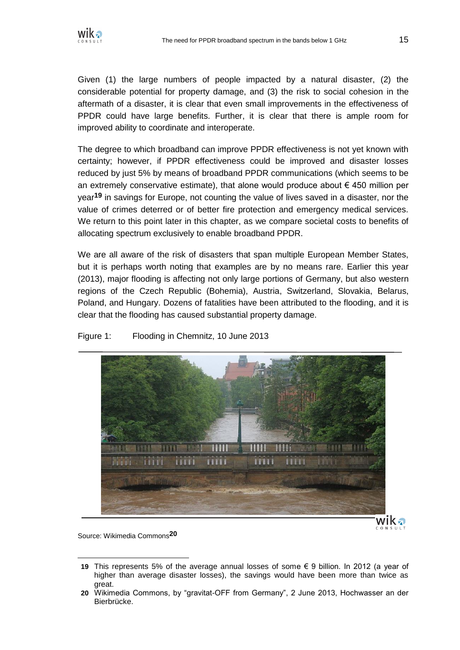

Given (1) the large numbers of people impacted by a natural disaster, (2) the considerable potential for property damage, and (3) the risk to social cohesion in the aftermath of a disaster, it is clear that even small improvements in the effectiveness of PPDR could have large benefits. Further, it is clear that there is ample room for improved ability to coordinate and interoperate.

The degree to which broadband can improve PPDR effectiveness is not yet known with certainty; however, if PPDR effectiveness could be improved and disaster losses reduced by just 5% by means of broadband PPDR communications (which seems to be an extremely conservative estimate), that alone would produce about  $\epsilon$  450 million per year**19** in savings for Europe, not counting the value of lives saved in a disaster, nor the value of crimes deterred or of better fire protection and emergency medical services. We return to this point later in this chapter, as we compare societal costs to benefits of allocating spectrum exclusively to enable broadband PPDR.

We are all aware of the risk of disasters that span multiple European Member States, but it is perhaps worth noting that examples are by no means rare. Earlier this year (2013), major flooding is affecting not only large portions of Germany, but also western regions of the Czech Republic (Bohemia), Austria, Switzerland, Slovakia, Belarus, Poland, and Hungary. Dozens of fatalities have been attributed to the flooding, and it is clear that the flooding has caused substantial property damage.



<span id="page-16-0"></span>Figure 1: Flooding in Chemnitz, 10 June 2013

Source: Wikimedia Commons**20**

 $\overline{a}$ 

**<sup>19</sup>** This represents 5% of the average annual losses of some € 9 billion. In 2012 (a year of higher than average disaster losses), the savings would have been more than twice as great.

**<sup>20</sup>** Wikimedia Commons, by "gravitat-OFF from Germany", 2 June 2013, Hochwasser an der Bierbrücke.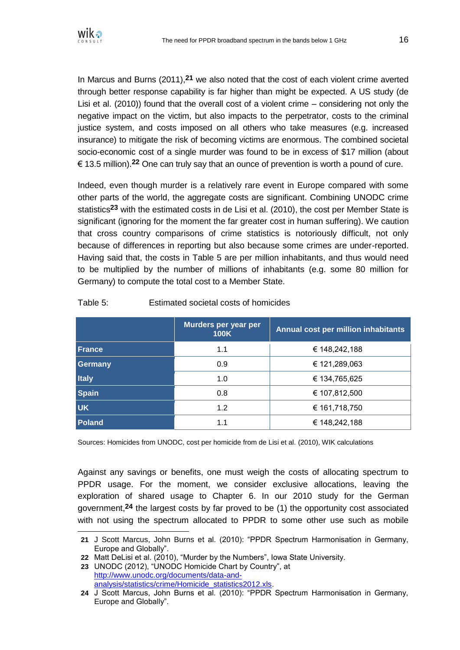

In Marcus and Burns (2011),**21** we also noted that the cost of each violent crime averted through better response capability is far higher than might be expected. A US study (de Lisi et al. (2010)) found that the overall cost of a violent crime – considering not only the negative impact on the victim, but also impacts to the perpetrator, costs to the criminal justice system, and costs imposed on all others who take measures (e.g. increased insurance) to mitigate the risk of becoming victims are enormous. The combined societal socio-economic cost of a single murder was found to be in excess of \$17 million (about € 13.5 million).**22** One can truly say that an ounce of prevention is worth a pound of cure.

Indeed, even though murder is a relatively rare event in Europe compared with some other parts of the world, the aggregate costs are significant. Combining UNODC crime statistics**23** with the estimated costs in de Lisi et al. (2010), the cost per Member State is significant (ignoring for the moment the far greater cost in human suffering). We caution that cross country comparisons of crime statistics is notoriously difficult, not only because of differences in reporting but also because some crimes are under-reported. Having said that, the costs in [Table 5](#page-17-0) are per million inhabitants, and thus would need to be multiplied by the number of millions of inhabitants (e.g. some 80 million for Germany) to compute the total cost to a Member State.

|               | Murders per year per<br><b>100K</b> | Annual cost per million inhabitants |
|---------------|-------------------------------------|-------------------------------------|
| <b>France</b> | 1.1                                 | € 148,242,188                       |
| Germany       | 0.9                                 | € 121,289,063                       |
| <b>Italy</b>  | 1.0                                 | € 134,765,625                       |
| <b>Spain</b>  | 0.8                                 | € 107,812,500                       |
| <b>UK</b>     | 1.2                                 | € 161,718,750                       |
| <b>Poland</b> | 1.1                                 | € 148,242,188                       |

#### <span id="page-17-0"></span>Table 5: Estimated societal costs of homicides

Sources: Homicides from UNODC, cost per homicide from de Lisi et al. (2010), WIK calculations

Against any savings or benefits, one must weigh the costs of allocating spectrum to PPDR usage. For the moment, we consider exclusive allocations, leaving the exploration of shared usage to Chapter [6.](#page-26-0) In our 2010 study for the German government,**24** the largest costs by far proved to be (1) the opportunity cost associated with not using the spectrum allocated to PPDR to some other use such as mobile

**<sup>21</sup>** J Scott Marcus, John Burns et al. (2010): "PPDR Spectrum Harmonisation in Germany, Europe and Globally".

**<sup>22</sup>** Matt DeLisi et al. (2010), "Murder by the Numbers", Iowa State University.

**<sup>23</sup>** UNODC (2012), "UNODC Homicide Chart by Country", at [http://www.unodc.org/documents/data-and](http://www.unodc.org/documents/data-and-analysis/statistics/crime/Homicide_statistics2012.xls)[analysis/statistics/crime/Homicide\\_statistics2012.xls.](http://www.unodc.org/documents/data-and-analysis/statistics/crime/Homicide_statistics2012.xls)

**<sup>24</sup>** J Scott Marcus, John Burns et al. (2010): "PPDR Spectrum Harmonisation in Germany, Europe and Globally".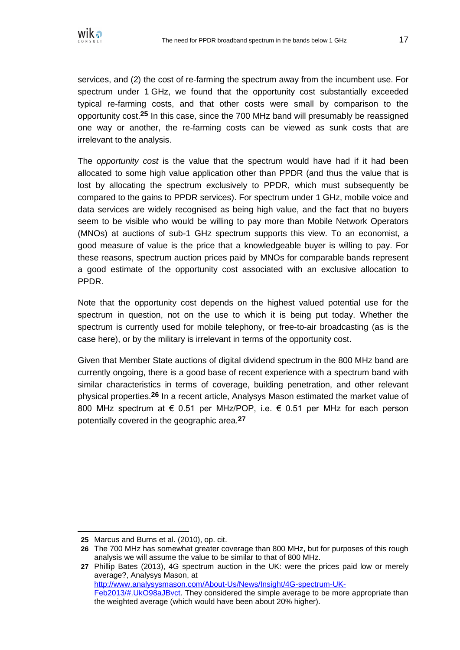

services, and (2) the cost of re-farming the spectrum away from the incumbent use. For spectrum under 1 GHz, we found that the opportunity cost substantially exceeded typical re-farming costs, and that other costs were small by comparison to the opportunity cost.**25** In this case, since the 700 MHz band will presumably be reassigned one way or another, the re-farming costs can be viewed as sunk costs that are irrelevant to the analysis.

The *opportunity cost* is the value that the spectrum would have had if it had been allocated to some high value application other than PPDR (and thus the value that is lost by allocating the spectrum exclusively to PPDR, which must subsequently be compared to the gains to PPDR services). For spectrum under 1 GHz, mobile voice and data services are widely recognised as being high value, and the fact that no buyers seem to be visible who would be willing to pay more than Mobile Network Operators (MNOs) at auctions of sub-1 GHz spectrum supports this view. To an economist, a good measure of value is the price that a knowledgeable buyer is willing to pay. For these reasons, spectrum auction prices paid by MNOs for comparable bands represent a good estimate of the opportunity cost associated with an exclusive allocation to PPDR.

Note that the opportunity cost depends on the highest valued potential use for the spectrum in question, not on the use to which it is being put today. Whether the spectrum is currently used for mobile telephony, or free-to-air broadcasting (as is the case here), or by the military is irrelevant in terms of the opportunity cost.

Given that Member State auctions of digital dividend spectrum in the 800 MHz band are currently ongoing, there is a good base of recent experience with a spectrum band with similar characteristics in terms of coverage, building penetration, and other relevant physical properties.**26** In a recent article, Analysys Mason estimated the market value of 800 MHz spectrum at  $\epsilon$  0.51 per MHz/POP, i.e.  $\epsilon$  0.51 per MHz for each person potentially covered in the geographic area.**27**

**<sup>25</sup>** Marcus and Burns et al. (2010), op. cit.

**<sup>26</sup>** The 700 MHz has somewhat greater coverage than 800 MHz, but for purposes of this rough analysis we will assume the value to be similar to that of 800 MHz.

**<sup>27</sup>** Phillip Bates (2013), 4G spectrum auction in the UK: were the prices paid low or merely average?, Analysys Mason, at [http://www.analysysmason.com/About-Us/News/Insight/4G-spectrum-UK-](http://www.analysysmason.com/About-Us/News/Insight/4G-spectrum-UK-Feb2013/#.UkO98aJBvct)[Feb2013/#.UkO98aJBvct.](http://www.analysysmason.com/About-Us/News/Insight/4G-spectrum-UK-Feb2013/#.UkO98aJBvct) They considered the simple average to be more appropriate than the weighted average (which would have been about 20% higher).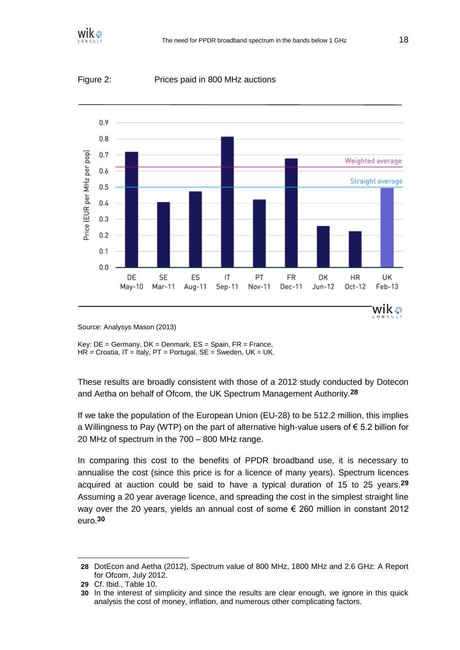



#### <span id="page-19-0"></span>Figure 2: Prices paid in 800 MHz auctions

Source: Analysys Mason (2013)

Key: DE = Germany, DK = Denmark, ES = Spain, FR = France,  $HR =$  Croatia, IT = Italy, PT = Portugal, SE = Sweden, UK = UK.

These results are broadly consistent with those of a 2012 study conducted by Dotecon and Aetha on behalf of Ofcom, the UK Spectrum Management Authority.**28**

If we take the population of the European Union (EU-28) to be 512.2 million, this implies a Willingness to Pay (WTP) on the part of alternative high-value users of  $\epsilon$  5.2 billion for 20 MHz of spectrum in the 700 – 800 MHz range.

In comparing this cost to the benefits of PPDR broadband use, it is necessary to annualise the cost (since this price is for a licence of many years). Spectrum licences acquired at auction could be said to have a typical duration of 15 to 25 years.**29** Assuming a 20 year average licence, and spreading the cost in the simplest straight line way over the 20 years, yields an annual cost of some € 260 million in constant 2012 euro.**30**

 $\overline{a}$ 

**<sup>28</sup>** DotEcon and Aetha (2012), Spectrum value of 800 MHz, 1800 MHz and 2.6 GHz: A Report for Ofcom, July 2012.

**<sup>29</sup>** Cf. Ibid., Table 10.

**<sup>30</sup>** In the interest of simplicity and since the results are clear enough, we ignore in this quick analysis the cost of money, inflation, and numerous other complicating factors.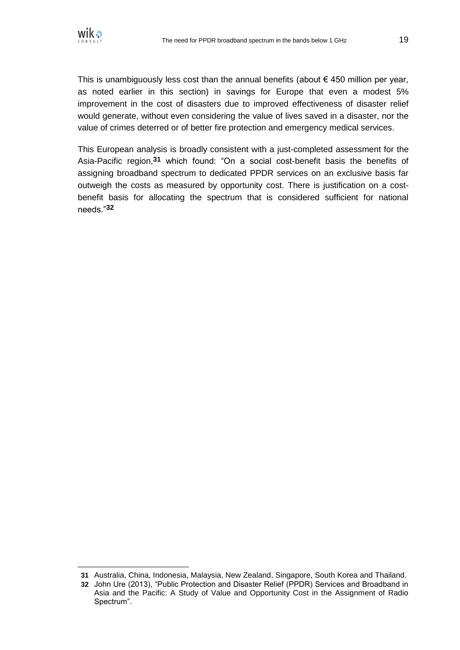

This is unambiguously less cost than the annual benefits (about  $\epsilon$  450 million per year, as noted earlier in this section) in savings for Europe that even a modest 5% improvement in the cost of disasters due to improved effectiveness of disaster relief would generate, without even considering the value of lives saved in a disaster, nor the value of crimes deterred or of better fire protection and emergency medical services.

This European analysis is broadly consistent with a just-completed assessment for the Asia-Pacific region,**31** which found: "On a social cost-benefit basis the benefits of assigning broadband spectrum to dedicated PPDR services on an exclusive basis far outweigh the costs as measured by opportunity cost. There is justification on a costbenefit basis for allocating the spectrum that is considered sufficient for national needs."**32**

 **31** Australia, China, Indonesia, Malaysia, New Zealand, Singapore, South Korea and Thailand.

**<sup>32</sup>** John Ure (2013), "Public Protection and Disaster Relief (PPDR) Services and Broadband in Asia and the Pacific: A Study of Value and Opportunity Cost in the Assignment of Radio Spectrum".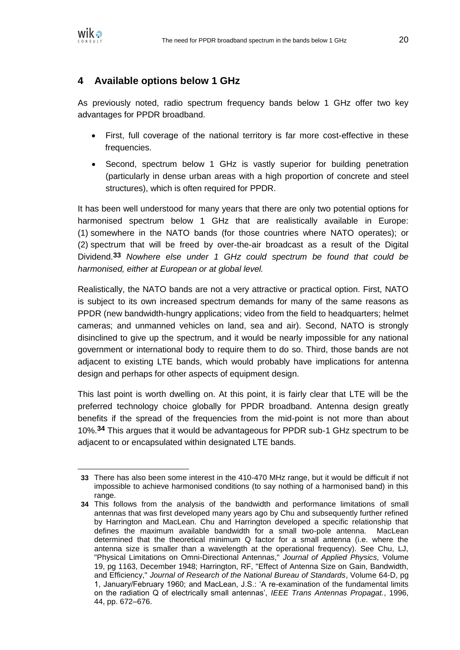

# **4 Available options below 1 GHz**

As previously noted, radio spectrum frequency bands below 1 GHz offer two key advantages for PPDR broadband.

- First, full coverage of the national territory is far more cost-effective in these frequencies.
- Second, spectrum below 1 GHz is vastly superior for building penetration (particularly in dense urban areas with a high proportion of concrete and steel structures), which is often required for PPDR.

It has been well understood for many years that there are only two potential options for harmonised spectrum below 1 GHz that are realistically available in Europe: (1) somewhere in the NATO bands (for those countries where NATO operates); or (2) spectrum that will be freed by over-the-air broadcast as a result of the Digital Dividend.**33** *Nowhere else under 1 GHz could spectrum be found that could be harmonised, either at European or at global level.*

Realistically, the NATO bands are not a very attractive or practical option. First, NATO is subject to its own increased spectrum demands for many of the same reasons as PPDR (new bandwidth-hungry applications; video from the field to headquarters; helmet cameras; and unmanned vehicles on land, sea and air). Second, NATO is strongly disinclined to give up the spectrum, and it would be nearly impossible for any national government or international body to require them to do so. Third, those bands are not adjacent to existing LTE bands, which would probably have implications for antenna design and perhaps for other aspects of equipment design.

This last point is worth dwelling on. At this point, it is fairly clear that LTE will be the preferred technology choice globally for PPDR broadband. Antenna design greatly benefits if the spread of the frequencies from the mid-point is not more than about 10%.**34** This argues that it would be advantageous for PPDR sub-1 GHz spectrum to be adjacent to or encapsulated within designated LTE bands.

 $\overline{a}$ **33** There has also been some interest in the 410-470 MHz range, but it would be difficult if not impossible to achieve harmonised conditions (to say nothing of a harmonised band) in this range.

**<sup>34</sup>** This follows from the analysis of the bandwidth and performance limitations of small antennas that was first developed many years ago by Chu and subsequently further refined by Harrington and MacLean. Chu and Harrington developed a specific relationship that defines the maximum available bandwidth for a small two-pole antenna. MacLean determined that the theoretical minimum Q factor for a small antenna (i.e. where the antenna size is smaller than a wavelength at the operational frequency). See Chu, LJ, "Physical Limitations on Omni-Directional Antennas," *Journal of Applied Physics,* Volume 19, pg 1163, December 1948; Harrington, RF, "Effect of Antenna Size on Gain, Bandwidth, and Efficiency," *Journal of Research of the National Bureau of Standards*, Volume 64-D, pg 1, January/February 1960; and MacLean, J.S.: 'A re-examination of the fundamental limits on the radiation Q of electrically small antennas', *IEEE Trans Antennas Propagat.*, 1996, 44, pp. 672–676.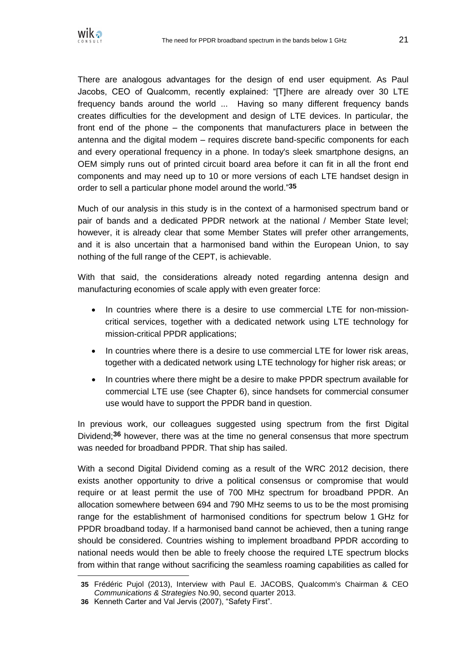

There are analogous advantages for the design of end user equipment. As Paul Jacobs, CEO of Qualcomm, recently explained: "[T]here are already over 30 LTE frequency bands around the world ... Having so many different frequency bands creates difficulties for the development and design of LTE devices. In particular, the front end of the phone – the components that manufacturers place in between the antenna and the digital modem – requires discrete band-specific components for each and every operational frequency in a phone. In today's sleek smartphone designs, an OEM simply runs out of printed circuit board area before it can fit in all the front end components and may need up to 10 or more versions of each LTE handset design in order to sell a particular phone model around the world."**35**

Much of our analysis in this study is in the context of a harmonised spectrum band or pair of bands and a dedicated PPDR network at the national / Member State level; however, it is already clear that some Member States will prefer other arrangements, and it is also uncertain that a harmonised band within the European Union, to say nothing of the full range of the CEPT, is achievable.

With that said, the considerations already noted regarding antenna design and manufacturing economies of scale apply with even greater force:

- In countries where there is a desire to use commercial LTE for non-missioncritical services, together with a dedicated network using LTE technology for mission-critical PPDR applications;
- In countries where there is a desire to use commercial LTE for lower risk areas, together with a dedicated network using LTE technology for higher risk areas; or
- In countries where there might be a desire to make PPDR spectrum available for commercial LTE use (see Chapter [6\)](#page-26-0), since handsets for commercial consumer use would have to support the PPDR band in question.

In previous work, our colleagues suggested using spectrum from the first Digital Dividend;**36** however, there was at the time no general consensus that more spectrum was needed for broadband PPDR. That ship has sailed.

With a second Digital Dividend coming as a result of the WRC 2012 decision, there exists another opportunity to drive a political consensus or compromise that would require or at least permit the use of 700 MHz spectrum for broadband PPDR. An allocation somewhere between 694 and 790 MHz seems to us to be the most promising range for the establishment of harmonised conditions for spectrum below 1 GHz for PPDR broadband today. If a harmonised band cannot be achieved, then a tuning range should be considered. Countries wishing to implement broadband PPDR according to national needs would then be able to freely choose the required LTE spectrum blocks from within that range without sacrificing the seamless roaming capabilities as called for

 $\overline{a}$ 

**<sup>35</sup>** Frédéric Pujol (2013), Interview with Paul E. JACOBS, Qualcomm's Chairman & CEO *Communications & Strategies* No.90, second quarter 2013.

**<sup>36</sup>** Kenneth Carter and Val Jervis (2007), "Safety First".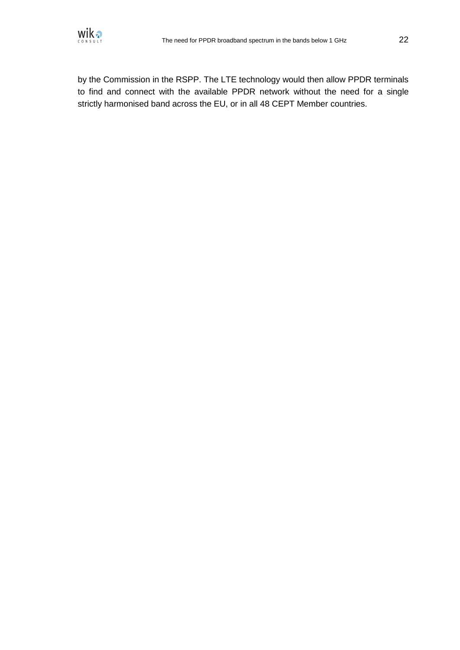

by the Commission in the RSPP. The LTE technology would then allow PPDR terminals to find and connect with the available PPDR network without the need for a single strictly harmonised band across the EU, or in all 48 CEPT Member countries.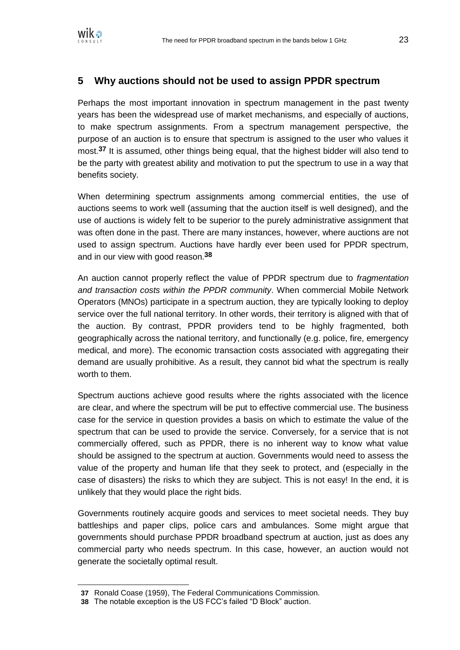

## **5 Why auctions should not be used to assign PPDR spectrum**

Perhaps the most important innovation in spectrum management in the past twenty years has been the widespread use of market mechanisms, and especially of auctions, to make spectrum assignments. From a spectrum management perspective, the purpose of an auction is to ensure that spectrum is assigned to the user who values it most.**37** It is assumed, other things being equal, that the highest bidder will also tend to be the party with greatest ability and motivation to put the spectrum to use in a way that benefits society.

When determining spectrum assignments among commercial entities, the use of auctions seems to work well (assuming that the auction itself is well designed), and the use of auctions is widely felt to be superior to the purely administrative assignment that was often done in the past. There are many instances, however, where auctions are not used to assign spectrum. Auctions have hardly ever been used for PPDR spectrum, and in our view with good reason.**38**

An auction cannot properly reflect the value of PPDR spectrum due to *fragmentation and transaction costs within the PPDR community*. When commercial Mobile Network Operators (MNOs) participate in a spectrum auction, they are typically looking to deploy service over the full national territory. In other words, their territory is aligned with that of the auction. By contrast, PPDR providers tend to be highly fragmented, both geographically across the national territory, and functionally (e.g. police, fire, emergency medical, and more). The economic transaction costs associated with aggregating their demand are usually prohibitive. As a result, they cannot bid what the spectrum is really worth to them.

Spectrum auctions achieve good results where the rights associated with the licence are clear, and where the spectrum will be put to effective commercial use. The business case for the service in question provides a basis on which to estimate the value of the spectrum that can be used to provide the service. Conversely, for a service that is not commercially offered, such as PPDR, there is no inherent way to know what value should be assigned to the spectrum at auction. Governments would need to assess the value of the property and human life that they seek to protect, and (especially in the case of disasters) the risks to which they are subject. This is not easy! In the end, it is unlikely that they would place the right bids.

Governments routinely acquire goods and services to meet societal needs. They buy battleships and paper clips, police cars and ambulances. Some might argue that governments should purchase PPDR broadband spectrum at auction, just as does any commercial party who needs spectrum. In this case, however, an auction would not generate the societally optimal result.

**<sup>37</sup>** Ronald Coase (1959), The Federal Communications Commission.

**<sup>38</sup>** The notable exception is the US FCC's failed "D Block" auction.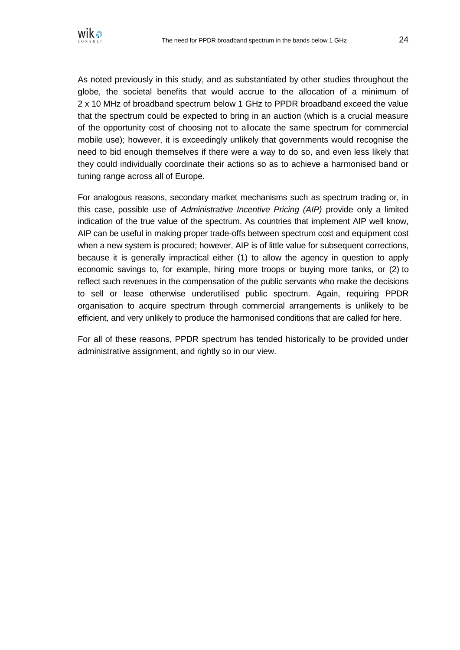

As noted previously in this study, and as substantiated by other studies throughout the globe, the societal benefits that would accrue to the allocation of a minimum of 2 x 10 MHz of broadband spectrum below 1 GHz to PPDR broadband exceed the value that the spectrum could be expected to bring in an auction (which is a crucial measure of the opportunity cost of choosing not to allocate the same spectrum for commercial mobile use); however, it is exceedingly unlikely that governments would recognise the need to bid enough themselves if there were a way to do so, and even less likely that they could individually coordinate their actions so as to achieve a harmonised band or tuning range across all of Europe.

For analogous reasons, secondary market mechanisms such as spectrum trading or, in this case, possible use of *Administrative Incentive Pricing (AIP)* provide only a limited indication of the true value of the spectrum. As countries that implement AIP well know, AIP can be useful in making proper trade-offs between spectrum cost and equipment cost when a new system is procured; however, AIP is of little value for subsequent corrections, because it is generally impractical either (1) to allow the agency in question to apply economic savings to, for example, hiring more troops or buying more tanks, or (2) to reflect such revenues in the compensation of the public servants who make the decisions to sell or lease otherwise underutilised public spectrum. Again, requiring PPDR organisation to acquire spectrum through commercial arrangements is unlikely to be efficient, and very unlikely to produce the harmonised conditions that are called for here.

For all of these reasons, PPDR spectrum has tended historically to be provided under administrative assignment, and rightly so in our view.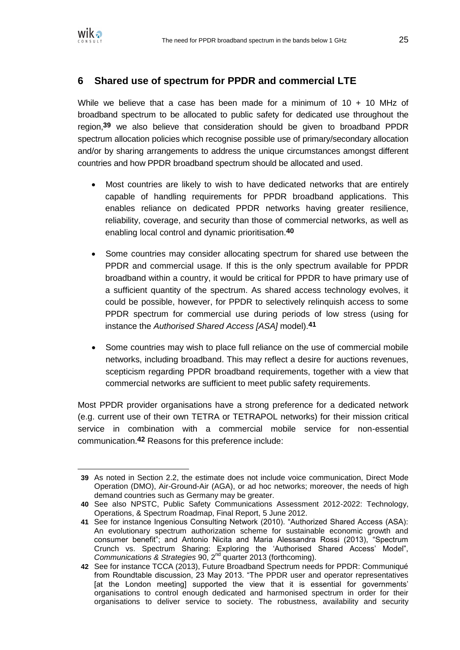

## <span id="page-26-0"></span>**6 Shared use of spectrum for PPDR and commercial LTE**

While we believe that a case has been made for a minimum of  $10 + 10$  MHz of broadband spectrum to be allocated to public safety for dedicated use throughout the region,**39** we also believe that consideration should be given to broadband PPDR spectrum allocation policies which recognise possible use of primary/secondary allocation and/or by sharing arrangements to address the unique circumstances amongst different countries and how PPDR broadband spectrum should be allocated and used.

- Most countries are likely to wish to have dedicated networks that are entirely capable of handling requirements for PPDR broadband applications. This enables reliance on dedicated PPDR networks having greater resilience, reliability, coverage, and security than those of commercial networks, as well as enabling local control and dynamic prioritisation.**40**
- Some countries may consider allocating spectrum for shared use between the PPDR and commercial usage. If this is the only spectrum available for PPDR broadband within a country, it would be critical for PPDR to have primary use of a sufficient quantity of the spectrum. As shared access technology evolves, it could be possible, however, for PPDR to selectively relinquish access to some PPDR spectrum for commercial use during periods of low stress (using for instance the *Authorised Shared Access [ASA]* model).**41**
- Some countries may wish to place full reliance on the use of commercial mobile networks, including broadband. This may reflect a desire for auctions revenues, scepticism regarding PPDR broadband requirements, together with a view that commercial networks are sufficient to meet public safety requirements.

Most PPDR provider organisations have a strong preference for a dedicated network (e.g. current use of their own TETRA or TETRAPOL networks) for their mission critical service in combination with a commercial mobile service for non-essential communication.**42** Reasons for this preference include:

 $\overline{a}$ **39** As noted in Section [2.2,](#page-11-0) the estimate does not include voice communication, Direct Mode Operation (DMO), Air-Ground-Air (AGA), or ad hoc networks; moreover, the needs of high demand countries such as Germany may be greater.

**<sup>40</sup>** See also NPSTC, Public Safety Communications Assessment 2012-2022: Technology, Operations, & Spectrum Roadmap, Final Report, 5 June 2012.

**<sup>41</sup>** See for instance Ingenious Consulting Network (2010). "Authorized Shared Access (ASA): An evolutionary spectrum authorization scheme for sustainable economic growth and consumer benefit"; and Antonio Nicita and Maria Alessandra Rossi (2013), "Spectrum Crunch vs. Spectrum Sharing: Exploring the 'Authorised Shared Access' Model", *Communications & Strategies* 90, 2nd quarter 2013 (forthcoming).

**<sup>42</sup>** See for instance TCCA (2013), Future Broadband Spectrum needs for PPDR: Communiqué from Roundtable discussion, 23 May 2013. "The PPDR user and operator representatives [at the London meeting] supported the view that it is essential for governments' organisations to control enough dedicated and harmonised spectrum in order for their organisations to deliver service to society. The robustness, availability and security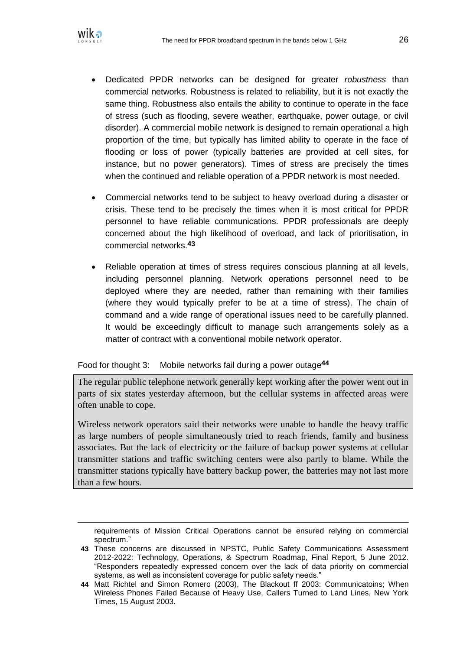

-

- Dedicated PPDR networks can be designed for greater *robustness* than commercial networks. Robustness is related to reliability, but it is not exactly the same thing. Robustness also entails the ability to continue to operate in the face of stress (such as flooding, severe weather, earthquake, power outage, or civil disorder). A commercial mobile network is designed to remain operational a high proportion of the time, but typically has limited ability to operate in the face of flooding or loss of power (typically batteries are provided at cell sites, for instance, but no power generators). Times of stress are precisely the times when the continued and reliable operation of a PPDR network is most needed.
- Commercial networks tend to be subject to heavy overload during a disaster or crisis. These tend to be precisely the times when it is most critical for PPDR personnel to have reliable communications. PPDR professionals are deeply concerned about the high likelihood of overload, and lack of prioritisation, in commercial networks.**43**
- Reliable operation at times of stress requires conscious planning at all levels, including personnel planning. Network operations personnel need to be deployed where they are needed, rather than remaining with their families (where they would typically prefer to be at a time of stress). The chain of command and a wide range of operational issues need to be carefully planned. It would be exceedingly difficult to manage such arrangements solely as a matter of contract with a conventional mobile network operator.

#### <span id="page-27-0"></span>Food for thought 3: Mobile networks fail during a power outage**44**

The regular public telephone network generally kept working after the power went out in parts of six states yesterday afternoon, but the cellular systems in affected areas were often unable to cope.

Wireless network operators said their networks were unable to handle the heavy traffic as large numbers of people simultaneously tried to reach friends, family and business associates. But the lack of electricity or the failure of backup power systems at cellular transmitter stations and traffic switching centers were also partly to blame. While the transmitter stations typically have battery backup power, the batteries may not last more than a few hours.

requirements of Mission Critical Operations cannot be ensured relying on commercial spectrum."

**<sup>43</sup>** These concerns are discussed in NPSTC, Public Safety Communications Assessment 2012-2022: Technology, Operations, & Spectrum Roadmap, Final Report, 5 June 2012. "Responders repeatedly expressed concern over the lack of data priority on commercial systems, as well as inconsistent coverage for public safety needs."

**<sup>44</sup>** Matt Richtel and Simon Romero (2003), The Blackout ff 2003: Communicatoins; When Wireless Phones Failed Because of Heavy Use, Callers Turned to Land Lines, New York Times, 15 August 2003.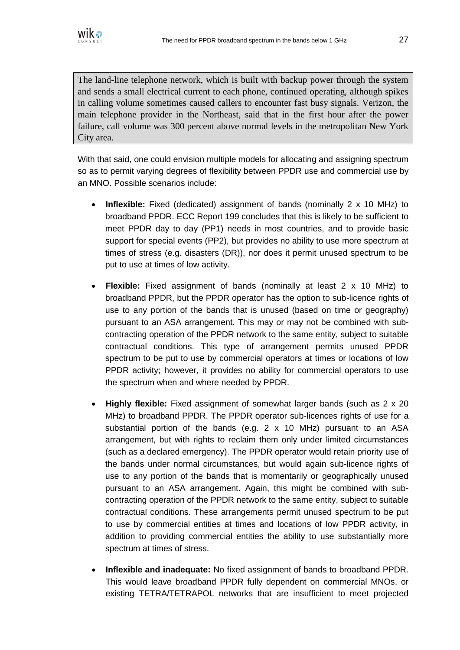The land-line telephone network, which is built with backup power through the system and sends a small electrical current to each phone, continued operating, although spikes in calling volume sometimes caused callers to encounter fast busy signals. Verizon, the main telephone provider in the Northeast, said that in the first hour after the power failure, call volume was 300 percent above normal levels in the metropolitan New York City area.

With that said, one could envision multiple models for allocating and assigning spectrum so as to permit varying degrees of flexibility between PPDR use and commercial use by an MNO. Possible scenarios include:

- **Inflexible:** Fixed (dedicated) assignment of bands (nominally 2 x 10 MHz) to broadband PPDR. ECC Report 199 concludes that this is likely to be sufficient to meet PPDR day to day (PP1) needs in most countries, and to provide basic support for special events (PP2), but provides no ability to use more spectrum at times of stress (e.g. disasters (DR)), nor does it permit unused spectrum to be put to use at times of low activity.
- **Flexible:** Fixed assignment of bands (nominally at least 2 x 10 MHz) to broadband PPDR, but the PPDR operator has the option to sub-licence rights of use to any portion of the bands that is unused (based on time or geography) pursuant to an ASA arrangement. This may or may not be combined with subcontracting operation of the PPDR network to the same entity, subject to suitable contractual conditions. This type of arrangement permits unused PPDR spectrum to be put to use by commercial operators at times or locations of low PPDR activity; however, it provides no ability for commercial operators to use the spectrum when and where needed by PPDR.
- **Highly flexible:** Fixed assignment of somewhat larger bands (such as 2 x 20 MHz) to broadband PPDR. The PPDR operator sub-licences rights of use for a substantial portion of the bands (e.g. 2 x 10 MHz) pursuant to an ASA arrangement, but with rights to reclaim them only under limited circumstances (such as a declared emergency). The PPDR operator would retain priority use of the bands under normal circumstances, but would again sub-licence rights of use to any portion of the bands that is momentarily or geographically unused pursuant to an ASA arrangement. Again, this might be combined with subcontracting operation of the PPDR network to the same entity, subject to suitable contractual conditions. These arrangements permit unused spectrum to be put to use by commercial entities at times and locations of low PPDR activity, in addition to providing commercial entities the ability to use substantially more spectrum at times of stress.
- **Inflexible and inadequate:** No fixed assignment of bands to broadband PPDR. This would leave broadband PPDR fully dependent on commercial MNOs, or existing TETRA/TETRAPOL networks that are insufficient to meet projected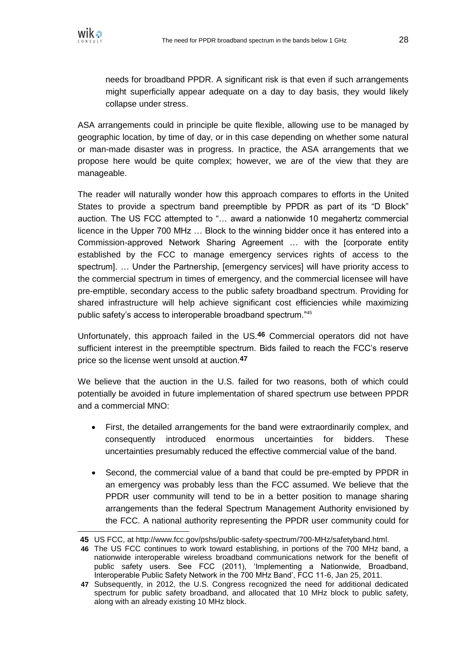

needs for broadband PPDR. A significant risk is that even if such arrangements might superficially appear adequate on a day to day basis, they would likely collapse under stress.

ASA arrangements could in principle be quite flexible, allowing use to be managed by geographic location, by time of day, or in this case depending on whether some natural or man-made disaster was in progress. In practice, the ASA arrangements that we propose here would be quite complex; however, we are of the view that they are manageable.

The reader will naturally wonder how this approach compares to efforts in the United States to provide a spectrum band preemptible by PPDR as part of its "D Block" auction. The US FCC attempted to "… award a nationwide 10 megahertz commercial licence in the Upper 700 MHz … Block to the winning bidder once it has entered into a Commission-approved Network Sharing Agreement … with the [corporate entity established by the FCC to manage emergency services rights of access to the spectrum]. … Under the Partnership, [emergency services] will have priority access to the commercial spectrum in times of emergency, and the commercial licensee will have pre-emptible, secondary access to the public safety broadband spectrum. Providing for shared infrastructure will help achieve significant cost efficiencies while maximizing public safety's access to interoperable broadband spectrum."<sup>45</sup>

Unfortunately, this approach failed in the US. **46** Commercial operators did not have sufficient interest in the preemptible spectrum. Bids failed to reach the FCC's reserve price so the license went unsold at auction.**47**

We believe that the auction in the U.S. failed for two reasons, both of which could potentially be avoided in future implementation of shared spectrum use between PPDR and a commercial MNO:

- First, the detailed arrangements for the band were extraordinarily complex, and consequently introduced enormous uncertainties for bidders. These uncertainties presumably reduced the effective commercial value of the band.
- Second, the commercial value of a band that could be pre-empted by PPDR in an emergency was probably less than the FCC assumed. We believe that the PPDR user community will tend to be in a better position to manage sharing arrangements than the federal Spectrum Management Authority envisioned by the FCC. A national authority representing the PPDR user community could for

**<sup>45</sup>** US FCC, at [http://www.fcc.gov/pshs/public-safety-spectrum/700-MHz/safetyband.html.](http://www.fcc.gov/pshs/public-safety-spectrum/700-MHz/safetyband.html)

**<sup>46</sup>** The US FCC continues to work toward establishing, in portions of the 700 MHz band, a nationwide interoperable wireless broadband communications network for the benefit of public safety users. See FCC (2011), 'Implementing a Nationwide, Broadband, Interoperable Public Safety Network in the 700 MHz Band', FCC 11-6, Jan 25, 2011.

**<sup>47</sup>** Subsequently, in 2012, the U.S. Congress recognized the need for additional dedicated spectrum for public safety broadband, and allocated that 10 MHz block to public safety, along with an already existing 10 MHz block.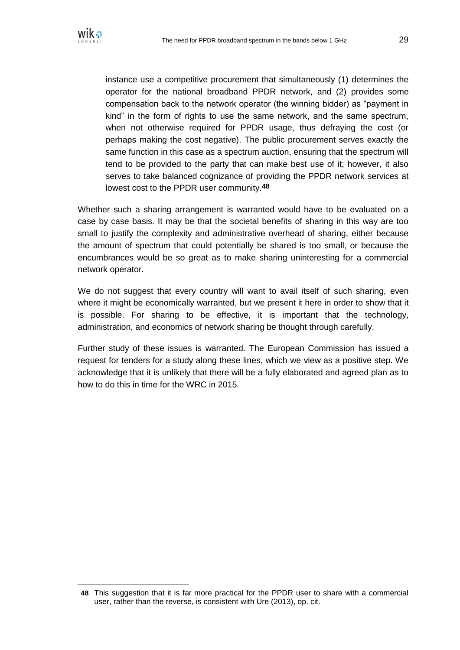

instance use a competitive procurement that simultaneously (1) determines the operator for the national broadband PPDR network, and (2) provides some compensation back to the network operator (the winning bidder) as "payment in kind" in the form of rights to use the same network, and the same spectrum, when not otherwise required for PPDR usage, thus defraying the cost (or perhaps making the cost negative). The public procurement serves exactly the same function in this case as a spectrum auction, ensuring that the spectrum will tend to be provided to the party that can make best use of it; however, it also serves to take balanced cognizance of providing the PPDR network services at lowest cost to the PPDR user community.**48**

Whether such a sharing arrangement is warranted would have to be evaluated on a case by case basis. It may be that the societal benefits of sharing in this way are too small to justify the complexity and administrative overhead of sharing, either because the amount of spectrum that could potentially be shared is too small, or because the encumbrances would be so great as to make sharing uninteresting for a commercial network operator.

We do not suggest that every country will want to avail itself of such sharing, even where it might be economically warranted, but we present it here in order to show that it is possible. For sharing to be effective, it is important that the technology, administration, and economics of network sharing be thought through carefully.

Further study of these issues is warranted. The European Commission has issued a request for tenders for a study along these lines, which we view as a positive step. We acknowledge that it is unlikely that there will be a fully elaborated and agreed plan as to how to do this in time for the WRC in 2015.

**<sup>48</sup>** This suggestion that it is far more practical for the PPDR user to share with a commercial user, rather than the reverse, is consistent with Ure (2013), op. cit.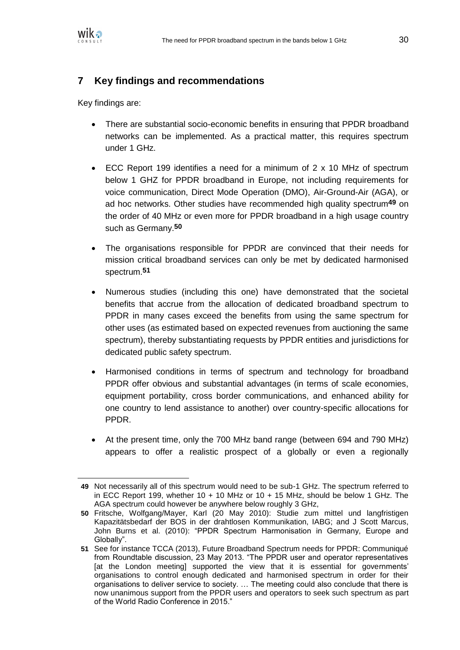

 $\overline{a}$ 

## **7 Key findings and recommendations**

Key findings are:

- There are substantial socio-economic benefits in ensuring that PPDR broadband networks can be implemented. As a practical matter, this requires spectrum under 1 GHz.
- ECC Report 199 identifies a need for a minimum of 2 x 10 MHz of spectrum below 1 GHZ for PPDR broadband in Europe, not including requirements for voice communication, Direct Mode Operation (DMO), Air-Ground-Air (AGA), or ad hoc networks. Other studies have recommended high quality spectrum**49** on the order of 40 MHz or even more for PPDR broadband in a high usage country such as Germany.**50**
- The organisations responsible for PPDR are convinced that their needs for mission critical broadband services can only be met by dedicated harmonised spectrum.**51**
- Numerous studies (including this one) have demonstrated that the societal benefits that accrue from the allocation of dedicated broadband spectrum to PPDR in many cases exceed the benefits from using the same spectrum for other uses (as estimated based on expected revenues from auctioning the same spectrum), thereby substantiating requests by PPDR entities and jurisdictions for dedicated public safety spectrum.
- Harmonised conditions in terms of spectrum and technology for broadband PPDR offer obvious and substantial advantages (in terms of scale economies, equipment portability, cross border communications, and enhanced ability for one country to lend assistance to another) over country-specific allocations for PPDR.
- At the present time, only the 700 MHz band range (between 694 and 790 MHz) appears to offer a realistic prospect of a globally or even a regionally

**<sup>49</sup>** Not necessarily all of this spectrum would need to be sub-1 GHz. The spectrum referred to in ECC Report 199, whether  $10 + 10$  MHz or  $10 + 15$  MHz, should be below 1 GHz. The AGA spectrum could however be anywhere below roughly 3 GHz,

**<sup>50</sup>** Fritsche, Wolfgang/Mayer, Karl (20 May 2010): Studie zum mittel und langfristigen Kapazitätsbedarf der BOS in der drahtlosen Kommunikation, IABG; and J Scott Marcus, John Burns et al. (2010): "PPDR Spectrum Harmonisation in Germany, Europe and Globally".

**<sup>51</sup>** See for instance TCCA (2013), Future Broadband Spectrum needs for PPDR: Communiqué from Roundtable discussion, 23 May 2013. "The PPDR user and operator representatives [at the London meeting] supported the view that it is essential for governments' organisations to control enough dedicated and harmonised spectrum in order for their organisations to deliver service to society. … The meeting could also conclude that there is now unanimous support from the PPDR users and operators to seek such spectrum as part of the World Radio Conference in 2015."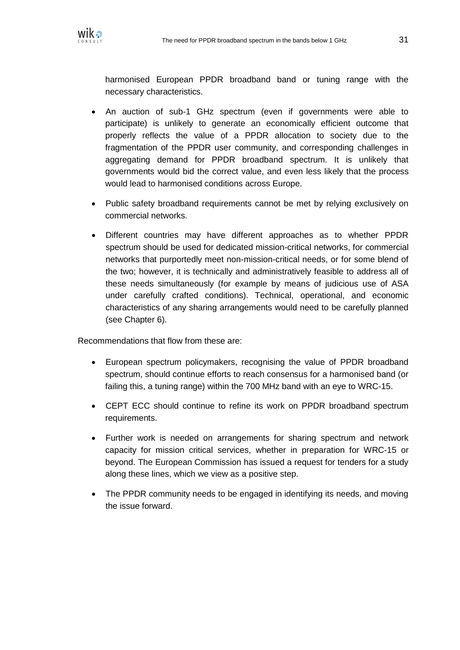

harmonised European PPDR broadband band or tuning range with the necessary characteristics.

- An auction of sub-1 GHz spectrum (even if governments were able to participate) is unlikely to generate an economically efficient outcome that properly reflects the value of a PPDR allocation to society due to the fragmentation of the PPDR user community, and corresponding challenges in aggregating demand for PPDR broadband spectrum. It is unlikely that governments would bid the correct value, and even less likely that the process would lead to harmonised conditions across Europe.
- Public safety broadband requirements cannot be met by relying exclusively on commercial networks.
- Different countries may have different approaches as to whether PPDR spectrum should be used for dedicated mission-critical networks, for commercial networks that purportedly meet non-mission-critical needs, or for some blend of the two; however, it is technically and administratively feasible to address all of these needs simultaneously (for example by means of judicious use of ASA under carefully crafted conditions). Technical, operational, and economic characteristics of any sharing arrangements would need to be carefully planned (see Chapter [6\)](#page-26-0).

Recommendations that flow from these are:

- European spectrum policymakers, recognising the value of PPDR broadband spectrum, should continue efforts to reach consensus for a harmonised band (or failing this, a tuning range) within the 700 MHz band with an eye to WRC-15.
- CEPT ECC should continue to refine its work on PPDR broadband spectrum requirements.
- Further work is needed on arrangements for sharing spectrum and network capacity for mission critical services, whether in preparation for WRC-15 or beyond. The European Commission has issued a request for tenders for a study along these lines, which we view as a positive step.
- The PPDR community needs to be engaged in identifying its needs, and moving the issue forward.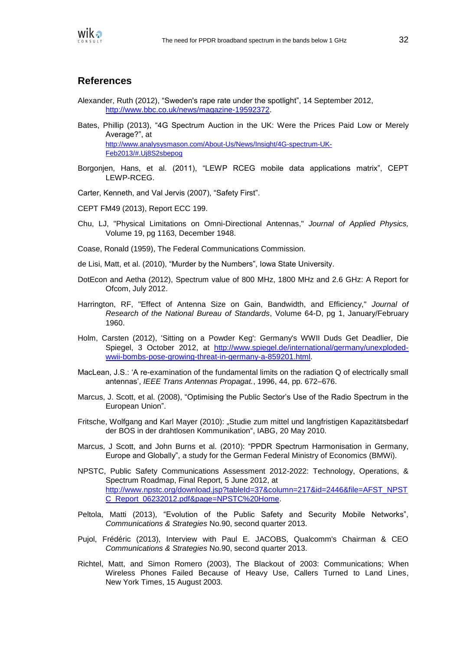

#### **References**

- Alexander, Ruth (2012), "Sweden's rape rate under the spotlight", 14 September 2012, [http://www.bbc.co.uk/news/magazine-19592372.](http://www.bbc.co.uk/news/magazine-19592372)
- Bates, Phillip (2013), "4G Spectrum Auction in the UK: Were the Prices Paid Low or Merely Average?", at [http://www.analysysmason.com/About-Us/News/Insight/4G-spectrum-UK-](http://www.analysysmason.com/About-Us/News/Insight/4G-spectrum-UK-Feb2013/#.Uj8S2sbepog)[Feb2013/#.Uj8S2sbepog](http://www.analysysmason.com/About-Us/News/Insight/4G-spectrum-UK-Feb2013/#.Uj8S2sbepog)
- Borgonjen, Hans, et al. (2011), "LEWP RCEG mobile data applications matrix", CEPT LEWP-RCEG.
- Carter, Kenneth, and Val Jervis (2007), "Safety First".
- CEPT FM49 (2013), Report ECC 199.
- Chu, LJ, "Physical Limitations on Omni-Directional Antennas," *Journal of Applied Physics,* Volume 19, pg 1163, December 1948.
- Coase, Ronald (1959), The Federal Communications Commission.
- de Lisi, Matt, et al. (2010), "Murder by the Numbers", Iowa State University.
- DotEcon and Aetha (2012), Spectrum value of 800 MHz, 1800 MHz and 2.6 GHz: A Report for Ofcom, July 2012.
- Harrington, RF, "Effect of Antenna Size on Gain, Bandwidth, and Efficiency," *Journal of Research of the National Bureau of Standards*, Volume 64-D, pg 1, January/February 1960.
- Holm, Carsten (2012), 'Sitting on a Powder Keg': Germany's WWII Duds Get Deadlier, Die Spiegel, 3 October 2012, at [http://www.spiegel.de/international/germany/unexploded](http://www.spiegel.de/international/germany/unexploded-wwii-bombs-pose-growing-threat-in-germany-a-859201.html)[wwii-bombs-pose-growing-threat-in-germany-a-859201.html.](http://www.spiegel.de/international/germany/unexploded-wwii-bombs-pose-growing-threat-in-germany-a-859201.html)
- MacLean, J.S.: 'A re-examination of the fundamental limits on the radiation Q of electrically small antennas', *IEEE Trans Antennas Propagat.*, 1996, 44, pp. 672–676.
- Marcus, J. Scott, et al. (2008), "Optimising the Public Sector's Use of the Radio Spectrum in the European Union".
- Fritsche, Wolfgang and Karl Mayer (2010): "Studie zum mittel und langfristigen Kapazitätsbedarf der BOS in der drahtlosen Kommunikation", IABG, 20 May 2010.
- Marcus, J Scott, and John Burns et al. (2010): "PPDR Spectrum Harmonisation in Germany, Europe and Globally", a study for the German Federal Ministry of Economics (BMWi).
- NPSTC, Public Safety Communications Assessment 2012-2022: Technology, Operations, & Spectrum Roadmap, Final Report, 5 June 2012, at [http://www.npstc.org/download.jsp?tableId=37&column=217&id=2446&file=AFST\\_NPST](http://www.npstc.org/download.jsp?tableId=37&column=217&id=2446&file=AFST_NPSTC_Report_06232012.pdf&page=NPSTC%20Home) [C\\_Report\\_06232012.pdf&page=NPSTC%20Home.](http://www.npstc.org/download.jsp?tableId=37&column=217&id=2446&file=AFST_NPSTC_Report_06232012.pdf&page=NPSTC%20Home)
- Peltola, Matti (2013), "Evolution of the Public Safety and Security Mobile Networks", *Communications & Strategies* No.90, second quarter 2013.
- Pujol, Frédéric (2013), Interview with Paul E. JACOBS, Qualcomm's Chairman & CEO *Communications & Strategies* No.90, second quarter 2013.
- Richtel, Matt, and Simon Romero (2003), The Blackout of 2003: Communications; When Wireless Phones Failed Because of Heavy Use, Callers Turned to Land Lines, New York Times, 15 August 2003.